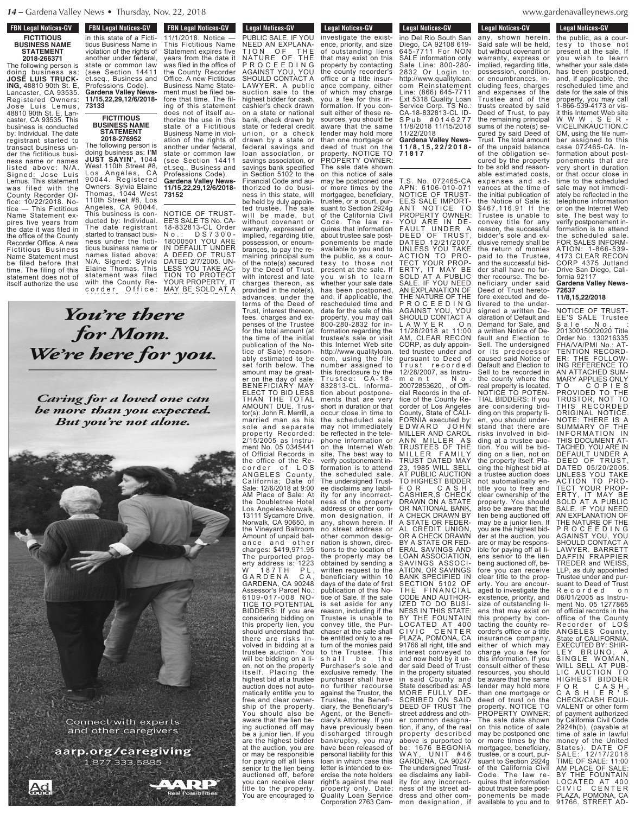## **FBN Legal Notices-GV FICTITIOUS BUSINESS NAME STATEMENT**

**2018-266371** The following person is doing business as: **JOSE LUIS TRUCK-ING,** 48810 90th St. E, Lancaster, CA 93535. Registered Owners: Registered Owners.<br>Jose Luis Lemus, 48810 90th St. E, Lancaster, CA 93535. This business is conducted by: Individual. The date registrant started to transact business under the fictitious business name or names listed above: N/A Signed: Jose Luis Lemus. This statement was filed with the County Recorder Office: 10/22/2018. Notice — This Fictitious Name Statement expires five years from the date it was filed in the office of the County Recorder Office. A new Fictitious Business Name Statement must be filed before that time. The filing of this statement does not of itself authorize the use

tious Business Name in violation of the rights of

**73133**

**FBN Legal Notices-GV FIGURE AUTOMOTIVE AUTHORIZE** in this state of a Fictitious Business Name in violation of the rights of another under federal, state or common law (see Section 14411 et.seq., Business and Professions Code). **Gardena Valley News-11/15,22,29,12/6/2018- 73133**

## **FICTITIOUS BUSINESS NAME STATEMENT 2018-276952**

**11/15,22,29,12/6/2018- 73152** The following person is doing business as: **I'M JUST SAYIN',** 1044 West 110th Street #8, Los Angeles, CA 90044. Registered Owners: Sylvia Elaine Thomas, 1044 West 110th Street #8, Los Angeles, CA 90044. This business is conducted by: Individual. The date registrant started to transact business under the fictitious business name or names listed above: N/A. Signed: Sylvia Elaine Thomas. This statement was filed with the County Re-

years from the date it was filed in the office of the County Recorder Office. A new Fictitious Business Name Statement must be filed before that time. The filing of this statement does not of itself authorize the use in this state of a Fictitious Business Name in violation of the rights of another under federal, state or common law (see Section 14411 et.seq., Business and Professions Code). **Gardena Valley News-**

NOTICE OF TRUST-EE'S SALE TS No. CA-18-832813-CL Order N o . : D S 7 3 0 0 - 18000501 YOU ARE IN DEFAULT UNDER corder Office:

**FBN Legal Notices-GV** 

**CONCEGAT MULTES-CIVILLES** 11/1/2018. Notice — This Fictitious Name Statement expires five

I Vou're the was filed in the office of  $\overline{M}_{\alpha\alpha}$ tor Mon Business Name State $h$ ang  $f$  $\bm{r}$ ere jo ing of this statement state or common law (see Section 14411 Professions Code). **Gardena Valley News-11/15,22,22,2019** 

This Fictitious Name

than you expected. you're not alone. for a loved <sup>,</sup> than you e you re not a

does not of itself au-

**73152** be held by during the held by during ted trustees. The sales sales is the sales sales sales sales sales sales sales sales sales sales sales sales s with the main of the main of the main with the covenant or covenant or covenant or covenant or covenant or covenant or covenant or covenant or covenant or covenant or covenant or covenant or covenant or covenant or covenant or covenant or covenant or covenant warranty, expressed or implied, regarding title, possession, or encumbranches, the rest of the remaining principal sum  $\sim$ by the Deed of Trust, with interest and late charges thereon, as provided in the noted in the noted in the noted in the noted in the noted in the noted in the noted in the noted in the noted in the noted in the noted in the noted in the noted in the noted in the noted in the noted in th advances, under the terms of the Deed of Trust, interest thereon, fees, charges and expenses of the Trustee for the total amount (at the time of the initial state of the initial state of publication of the Notice of Sale) reasonably estimated to be a big to be a big set forth below. The amount may be greater on the day of sale. BENEFICIARY MAY AN ARTICLE ELECT TO BID LESS THAN THE TOTAL TELEVISION **AMOUNT DUE. TRUSHER** tor Archives 20 married man as his state of the sole and separate property Recorded: 2/15/2005 as Instru- $\mathbf{V}$  $m$  of  $\sim$   $\sim$  335444

> Connect with experts c d e r o f L O S  $\mathsf{H}\mathbf{S}$ ey ( $\mathcal{E}_\mathcal{S}$ ey y  $\mathcal{N}_\mathcal{S}$

of Official Records in

Latin Part of California;

 $1311$  Sycamore Drive, Norwalk, CA 90650, in the Vineyard Ballroom Real Possibilities  $a \sim a$  and  $b \sim a$ charges: \$419,971.95

Sale: 12/6/2018 at 9:00 ving  $\mathcal{S}$  and  $\mathcal{S}$ the Doubletree Hotel Los Angeles-Norwalk,



auction sale to the highest bidder for cash, cashier's check drawn on a state or national bank, check drawn by state or federal credit union, or a check drawn by a state or federal savings and loan association, or savings association, or savings bank specified in Section 5102 to the Financial Code and authorized to do business in this state, will be held by duly appointed trustee. The sale will be made, but without covenant or warranty, expressed or implied, regarding title, possession, or encumbrances, to pay the remaining principal sum of the note(s) secured by the Deed of Trust, with interest and late charges thereon, as provided in the note(s), advances, under the terms of the Deed of Trust, interest thereon, fees, charges and expenses of the Trustee for the total amount (at the time of the initial publication of the Notice of Sale) reasonably estimated to be set forth below. The amount may be greater on the day of sale. BENEFICIARY MAY ELECT TO BID LESS THAN THE TOTAL AMOUNT DUE. Trustor(s): John R. Merrill, a married man as his sole and separate property Recorded: 2/15/2005 as Instrument No. 05 0345441 of Official Records in the office of the Recorder of LOS ANGELES County, California; Date of Sale: 12/6/2018 at 9:00 AM Place of Sale: At the Doubletree Hotel Los Angeles-Norwalk, 13111 Sycamore Drive, Norwalk, CA 90650, in the Vineyard Ballroom Amount of unpaid balance and other charges: \$419,971.95 The purported property address is: 1223 W 187TH PL,  $G AR D EN A$   $CA$  , GARDENA, CA 90248 Assessor's Parcel No.: 6109-017-008 NO-TICE TO POTENTIAL BIDDERS: If you are considering bidding on this property lien, you should understand that there are risks involved in bidding at a trustee auction. You will be bidding on a lien, not on the property itself. Placing the highest bid at a trustee auction does not automatically entitle you to free and clear ownership of the property. You should also be aware that the lien being auctioned off may be a junior lien. If you are the highest bidder at the auction, you are or may be responsible for paying off all liens senior to the lien being auctioned off, before you can receive clear title to the property. You are encouraged to

**Legal Notices-GV** Legal Nutles-GV PUBLIC SALE. IF YOU NEED AN EXPLANA-TION OF THE NATURE OF THE P R O C E E D I N G AGAINST YOU, YOU SHOULD CONTACT A LAWYER. A public

**Legal Notices-GV** Legal Nutres-GV investigate the existence, priority, and size of outstanding liens that may exist on this property by contacting the county recorder's office or a title insurance company, either of which may charge you a fee for this information. If you consult either of these resources, you should be aware that the same lender may hold more than one mortgage or deed of trust on the property. NOTICE TO PROPERTY OWNER: The sale date shown on this notice of sale may be postponed one or more times by the mortgagee, beneficiary, trustee, or a court, pursuant to Section 2924g of the California Civil Code. The law requires that information about trustee sale postponements be made available to you and to the public, as a courtesy to those not present at the sale. If you wish to learn whether your sale date has been postponed, and, if applicable, the rescheduled time and date for the sale of this property, you may call 800-280-2832 for information regarding the trustee's sale or visit this Internet Web site http://www.qualityloan. com, using the file number assigned to this foreclosure by the Trustee: CA-18-832813-CL. Information about postponements that are very short in duration or that occur close in time to the scheduled sale may not immediately be reflected in the telephone information or on the Internet Web site. The best way to verify postponement information is to attend the scheduled sale. The undersigned Trustee disclaims any liability for any incorrectness of the property address or other common designation, any, shown herein. If no street address or other common designation is shown, directions to the location of the property may be obtained by sending a written request to the beneficiary within 10 days of the date of first publication of this No-tice of Sale. If the sale is set aside for any reason, including if the Trustee is unable to convey title, the Purchaser at the sale shall be entitled only to a return of the monies paid to the Trustee. This shall be the shall be the<br>Purchaser's sole and exclusive remedy. The purchaser shall have no further recourse against the Trustor, the Trustee, the Beneficiary, the Beneficiary's Agent, or the Beneficiary's Attorney. If you have previously been discharged through bankruptcy, you may have been released of personal liability for this loan in which case this letter is intended to exercise the note holders right's against the real property only. Date: Quality Loan Service Corporation <sup>2763</sup> Cam-

**Legal Notices-GV Corporation 2763 Camera** ino Del Rio South San Diego, CA 92108 619- 645-7711 For NON SALE information only Sale Line: 800-280- 2832 Or Login to: http://www.qualityloan. com Reinstatement Line: (866) 645-7711 Ext 5318 Quality Loan Service Corp. TS No.: CA-18-832813-CL ID-S P u b # 0 1 4 6 2 7 7 11/8/2018 11/15/2018 11/22/2018 **Gardena Valley News-1 1 / 8 , 1 5 , 2 2 / 2 0 1 8 - 7 1 8 1 7** T.S. No. 072465-CA APN: 6106-010-071 NOTICE OF TRUST-EE,S SALE IMPORT-ANT NOTICE TO PROPERTY OWNER:

ponements be made available to you and to YOU ARE IN DE-FAULT UNDER A DEED OF TRUST, DATED 12/21/2007. UNLESS YOU TAKE ACTION TO PRO-TECT YOUR PROP-ERTY, IT MAY BE SOLD AT A PUBLIC SALE. IF YOU NEED AN EXPLANATION OF THE NATURE OF THE P R O C E E D I N G AGAINST YOU, YOU SHOULD CONTACT A L A W Y E R O n 11/28/2018 at 11:00 AM, CLEAR RECON CORP, as duly appointed trustee under and pursuant to Deed of Trust recorded 12/28/2007, as Instrum e n t N o . 20072853620, , of Official Records in the office of the County Recorder of Los Angeles County, State of CALI-FORNIA executed by: E D W A R D J O H N MILLER AND CAROL ANN MILLER AS TRUSTEES OF THE M I L L E R F A M I L Y TRUST DATED MAY 23, 1985 WILL SELL AT PUBLIC AUCTION TO HIGHEST BIDDER F O R C A S H , CASHIER,S CHECK DRAWN ON A STATE OR NATIONAL BANK, A CHECK DRAWN BY A STATE OR FEDER-AL CREDIT UNION, OR A CHECK DRAWN BY A STATE OR FED-ERAL SAVINGS AND LOAN ASSOCIATION, SAVINGS ASSOCI-ATION, OR SAVINGS BANK SPECIFIED IN SECTION 5102 OF THE FINANCIAL<br>CODEANDAUTHOR-IZED TO DO BUSI-NESS IN THIS STATE: BY THE FOUNTAIN LOCATED AT 400 CIVIC CENTER PLAZA, POMONA, CA 91766 all right, title and interest conveyed to and now held by it under said Deed of Trust in the property situated in said County and State described as: AS MORE FULLY DE-SCRIBED ON SAID DEED OF TRUST The street address and other common designation, if any, of the real property described above is purported to<br>be: 1676 BEGONIA<br>WAY, UNIT #46 GARDENA, CA 90247 The undersigned Trustee disclaims any liability for any incorrectness of the street address and other common designation, if

denavalleynews.org  $arctan \frac{1}{2}$  $i$  in  $i$  www.g. ness of the street and street and street and street and street and street and street and street and street and

**Legal Notices-GV 72637 Legal Notices-GV** Legal Nutices-GV any, shown herein. Said sale will be held, but without covenant or warranty, express or implied, regarding title, possession, condition, or encumbrances, including fees, charges and expenses of the Trustee and of the trusts created by said Deed of Trust, to pay the remaining principal sums of the note(s) secured by said Deed of Trust. The total amount of the unpaid balance of the obligation secured by the property to be sold and reasonable estimated costs, expenses and advances at the time of the initial publication of the Notice of Sale is: \$467,116.91 If the Trustee is unable to convey title for any reason, the successful bidder's sole and exclusive remedy shall be the return of monies paid to the Trustee, and the successful bidder shall have no further recourse. The beneficiary under said Deed of Trust heretofore executed and delivered to the undersigned a written Declaration of Default and Demand for Sale, and a written Notice of Default and Election to Sell. The undersigned or its predecessor caused said Notice of Default and Election to Sell to be recorded in the county where the real property is located. NOTICE TO POTEN-TIAL BIDDERS: If you are considering bidding on this property lien, you should understand that there are risks involved in bidding at a trustee auction. You will be bidding on a lien, not on the property itself. Pla-

LOCATED AT 400 cing the highest bid at a trustee auction does not automatically entitle you to free and clear ownership of the property. You should also be aware that the lien being auctioned off may be a junior lien. If you are the highest bidder at the auction, you are or may be responsible for paying off all liens senior to the lien being auctioned off, before you can receive clear title to the property. You are encouraged to investigate the existence, priority, and size of outstanding liens that may exist on this property by con-tacting the county recorder's office or a title insurance company, either of which may charge you a fee for this information. If you consult either of these resources, you should be aware that the same lender may hold more than one mortgage or deed of trust on the property. NOTICE TO PROPERTY OWNER: The sale date shown on this notice of sale may be postponed one or more times by the mortgagee, beneficiary, trustee, or a court, pursuant to Section 2924g of the California Civil Code. The law requires that information about trustee sale post-

Legal Nutries-GV the public, as a courtesy to those not present at the sale. If you wish to learn whether your sale date has been postponed, and, if applicable, the rescheduled time and date for the sale of this property, you may call 1-866-539-4173 or visit this Internet Web site W W W . S E R - VICELINKAUCTION.C OM, using the file number assigned to this case 072465-CA. Information about postponements that are very short in duration or that occur close in time to the scheduled sale may not immediately be reflected in the telephone information or on the Internet Web site. The best way to verify postponement information is to attend the scheduled sale. FOR SALES INFORM-ATION: 1-866-539- 4173 CLEAR RECON CORP 4375 Jutland Drive San Diego, California 92117 **Gardena Valley News-**

**11/8,15,22/2018** NOTICE OF TRUST-EE'S SALE Trustee Sale No. : 20130015002020 Title Order No.: 130216335 FHA/VA/PMI No.: AT-

TENTION RECORD-ER: THE FOLLOW-ING REFERENCE TO AN ATTACHED SUM-MARY APPLIES ONLY T O C O P I E S PROVIDED TO THE TRUSTOR, NOT TO THIS RECORDED ORIGINAL NOTICE. NOTE: THERE IS A SUMMARY OF THE INFORMATION IN THIS DOCUMENT AT-TACHED. YOU ARE IN DEFAULT UNDER A DEED OF TRUST, DATED 05/20/2005. UNLESS YOU TAKE ACTION TO PRO-TECT YOUR PROP-ERTY, IT MAY BE SOLD AT A PUBLIC SALE. IF YOU NEED AN EXPLANATION OF THE NATURE OF THE P R O C E E D I N G AGAINST YOU, YOU SHOULD CONTACT A LAWYER. BARRETT DAFFIN FRAPPIER TREDER and WEISS, LLP, as duly appointed Trustee under and pursuant to Deed of Trust R e c o r d e d o n 06/01/2005 as Instru-ment No. 05 1277865 of official records in the office of the County Recorder of LOS ANGELES County, State of CALIFORNIA. EXECUTED BY: SHIR-LEY BRUNO, A SINGLE WOMAN, WILL SELL AT PUB-LIC AUCTION TO HIGHEST BIDDER F O R C A S H , C A S H I E R ' S CHECK/CASH EQUI-VALENT or other form of payment authorized by California Civil Code 2924h(b), (payable at time of sale in lawful money of the United States). DATE OF SALE: 12/17/2018 TIME OF SALE: 11:00 AM PLACE OF SALE: BY THE FOUNTAIN

CIVIC CENTER PLAZA, POMONA, CA 91766. STREET AD-